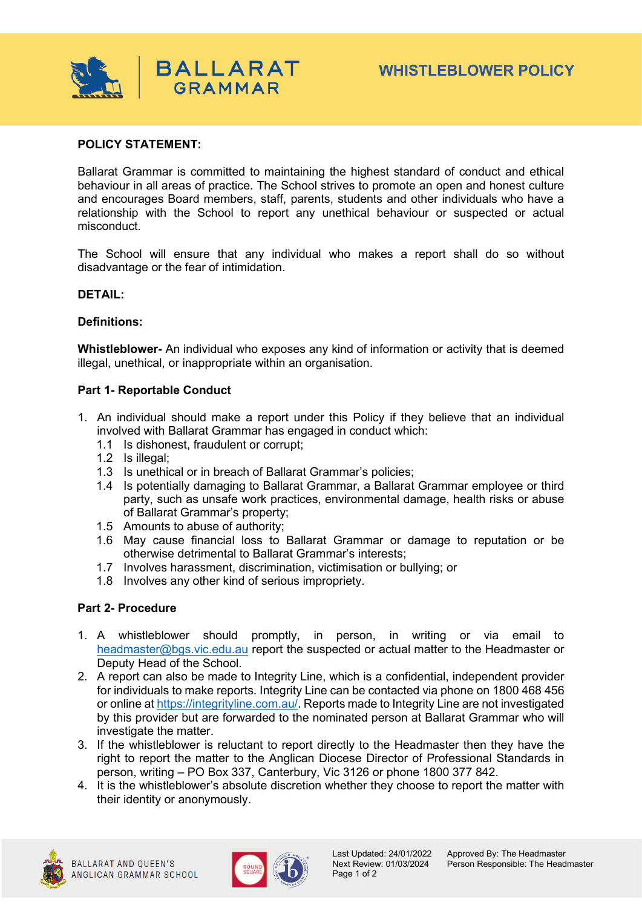

# **POLICY STATEMENT:**

Ballarat Grammar is committed to maintaining the highest standard of conduct and ethical behaviour in all areas of practice. The School strives to promote an open and honest culture and encourages Board members, staff, parents, students and other individuals who have a relationship with the School to report any unethical behaviour or suspected or actual misconduct.

The School will ensure that any individual who makes a report shall do so without disadvantage or the fear of intimidation.

### **DETAIL:**

### **Definitions:**

**Whistleblower-** An individual who exposes any kind of information or activity that is deemed illegal, unethical, or inappropriate within an organisation.

### **Part 1- Reportable Conduct**

- 1. An individual should make a report under this Policy if they believe that an individual involved with Ballarat Grammar has engaged in conduct which:
	- 1.1 Is dishonest, fraudulent or corrupt;
	- 1.2 Is illegal;
	- 1.3 Is unethical or in breach of Ballarat Grammar's policies;
	- 1.4 Is potentially damaging to Ballarat Grammar, a Ballarat Grammar employee or third party, such as unsafe work practices, environmental damage, health risks or abuse of Ballarat Grammar's property;
	- 1.5 Amounts to abuse of authority;
	- 1.6 May cause financial loss to Ballarat Grammar or damage to reputation or be otherwise detrimental to Ballarat Grammar's interests;
	- 1.7 Involves harassment, discrimination, victimisation or bullying; or
	- 1.8 Involves any other kind of serious impropriety.

# **Part 2- Procedure**

- 1. A whistleblower should promptly, in person, in writing or via email to [headmaster@bgs.vic.edu.au](mailto:headmaster@bgs.vic.edu.au) report the suspected or actual matter to the Headmaster or Deputy Head of the School.
- 2. A report can also be made to Integrity Line, which is a confidential, independent provider for individuals to make reports. Integrity Line can be contacted via phone on 1800 468 456 or online a[t https://integrityline.com.au/.](https://integrityline.com.au/) Reports made to Integrity Line are not investigated by this provider but are forwarded to the nominated person at Ballarat Grammar who will investigate the matter.
- 3. If the whistleblower is reluctant to report directly to the Headmaster then they have the right to report the matter to the Anglican Diocese Director of Professional Standards in person, writing – PO Box 337, Canterbury, Vic 3126 or phone 1800 377 842.
- 4. It is the whistleblower's absolute discretion whether they choose to report the matter with their identity or anonymously.